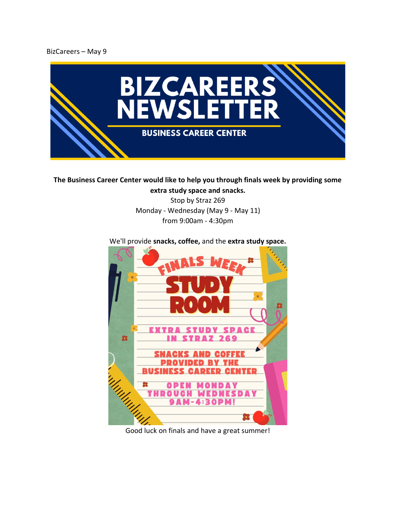BizCareers – May 9



**The Business Career Center would like to help you through finals week by providing some** 

**extra study space and snacks.** Stop by Straz 269 Monday - Wednesday (May 9 - May 11) from 9:00am - 4:30pm

## **SPACE** r v T TUDV 23 269 inhing

We'll provide **snacks, coffee,** and the **extra study space.**

Good luck on finals and have a great summer!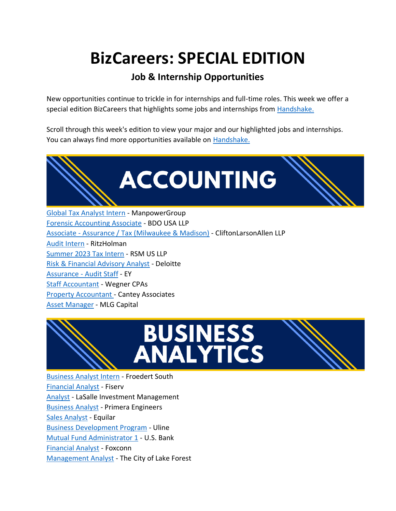## **BizCareers: SPECIAL EDITION**

### **Job & Internship Opportunities**

New opportunities continue to trickle in for internships and full-time roles. This week we offer a special edition BizCareers that highlights some jobs and internships from Handshake.

Scroll through this week's edition to view your major and our highlighted jobs and internships. You can always find more opportunities available on [Handshake.](https://marquette.joinhandshake.com/edu)



[Global Tax Analyst Intern](https://marquette.joinhandshake.com/stu/postings?page=1&per_page=25&sort_direction=desc&sort_column=default&query=manpower) - ManpowerGroup [Forensic Accounting Associate](https://marquette.joinhandshake.com/stu/postings?page=4&per_page=25&sort_direction=desc&sort_column=default&job.industries%5B%5D=874) - BDO USA LLP Associate - [Assurance / Tax \(Milwaukee & Madison\)](https://marquette.joinhandshake.com/jobs/6399958/share_preview) - CliftonLarsonAllen LLP [Audit Intern](https://marquette.joinhandshake.com/stu/jobs/5195521?ref=open-in-new-tab&search_id=0ae34ecf-1b1d-4ca3-84a3-747ac579d0a3) - RitzHolman [Summer 2023 Tax Intern](https://marquette.joinhandshake.com/stu/postings?page=2&per_page=25&sort_direction=desc&sort_column=default) - RSM US LLP [Risk & Financial Advisory Analyst](https://marquette.joinhandshake.com/stu/postings?page=1&per_page=25&sort_direction=desc&sort_column=default&query=intern) - Deloitte [Assurance -](https://marquette.joinhandshake.com/stu/postings?page=1&per_page=25&sort_direction=desc&sort_column=default&job.industries%5B%5D=874) Audit Staff - EY [Staff Accountant](https://marquette.joinhandshake.com/stu/postings?page=2&per_page=25&sort_direction=desc&sort_column=default&job.industries%5B%5D=874) - Wegner CPAs [Property Accountant -](https://marquette.joinhandshake.com/stu/postings?page=4&per_page=25&sort_direction=desc&sort_column=default&job.industries%5B%5D=874) Cantey Associates [Asset Manager](https://marquette.joinhandshake.com/jobs/6363651/share_preview) - MLG Capital



[Business Analyst Intern](https://marquette.joinhandshake.com/stu/postings?page=1&per_page=25&sort_direction=desc&sort_column=default&query=analyst) - Froedert South [Financial Analyst](https://marquette.joinhandshake.com/stu/postings?page=1&per_page=25&sort_direction=desc&sort_column=default&query=analyst) - Fiserv [Analyst](https://marquette.joinhandshake.com/stu/postings?page=1&per_page=25&sort_direction=desc&sort_column=default&query=analyst) - LaSalle Investment Management [Business Analyst](https://marquette.joinhandshake.com/stu/postings?page=4&per_page=25&sort_direction=desc&sort_column=default&query=analyst) - Primera Engineers [Sales Analyst](https://marquette.joinhandshake.com/stu/postings?page=4&per_page=25&sort_direction=desc&sort_column=default&query=analyst) - Equilar [Business Development Program](https://marquette.joinhandshake.com/jobs/5820927/share_preview) - Uline [Mutual Fund Administrator 1](https://marquette.joinhandshake.com/jobs/5997455/share_preview) - U.S. Bank [Financial Analyst](https://marquette.joinhandshake.com/jobs/4841183/share_preview) - Foxconn [Management Analyst](https://marquette.joinhandshake.com/stu/postings?page=6&per_page=25&sort_direction=desc&sort_column=default&query=analyst) - The City of Lake Forest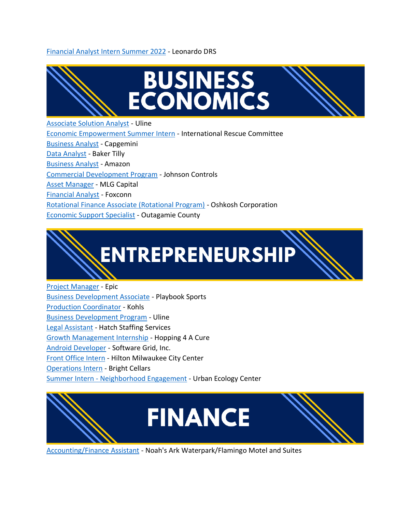### [Financial Analyst Intern Summer 2022](https://marquette.joinhandshake.com/stu/postings?page=1&per_page=25&sort_direction=desc&sort_column=default&query=analyst%20intern) - Leonardo DRS



[Commercial Development Program](https://marquette.joinhandshake.com/jobs/5558176/share_preview) - Johnson Controls

[Asset Manager](https://marquette.joinhandshake.com/jobs/6363651/share_preview) - MLG Capital

[Financial Analyst](https://marquette.joinhandshake.com/jobs/4841183/share_preview) - Foxconn

[Rotational Finance Associate \(Rotational Program\)](https://marquette.joinhandshake.com/jobs/5595485/share_preview) - Oshkosh Corporation

[Economic Support Specialist](https://marquette.joinhandshake.com/stu/postings?page=1&per_page=25&sort_direction=desc&sort_column=default&query=economi) - Outagamie County



[Project Manager](https://marquette.joinhandshake.com/stu/jobs/5785262?ref=open-in-new-tab&search_id=12cc875f-f59f-4f98-82e8-6465196e2776) - Epic [Business Development Associate](https://marquette.joinhandshake.com/jobs/5820271/share_preview) - Playbook Sports [Production Coordinator](https://marquette.joinhandshake.com/jobs/5245953/share_preview) - Kohls [Business Development Program](https://marquette.joinhandshake.com/stu/postings?page=2&per_page=25&sort_direction=desc&sort_column=default&majors%5B%5D=27174) - Uline [Legal Assistant](https://marquette.joinhandshake.com/stu/postings?page=2&per_page=25&sort_direction=desc&sort_column=default&majors%5B%5D=27174) - Hatch Staffing Services [Growth Management Internship](https://marquette.joinhandshake.com/stu/postings?page=1&per_page=25&sort_direction=desc&sort_column=default&majors%5B%5D=27174&query=growth%20management%20inter) - Hopping 4 A Cure [Android Developer](https://marquette.joinhandshake.com/stu/jobs/6444047?ref=open-in-new-tab&search_id=b045615e-2388-4769-9cc4-99dd9ac040f8) - Software Grid, Inc. [Front Office Intern](https://marquette.joinhandshake.com/stu/postings?page=4&per_page=25&sort_direction=desc&sort_column=default&query=intern) - Hilton Milwaukee City Center [Operations Intern](https://marquette.joinhandshake.com/stu/postings?page=4&per_page=25&sort_direction=desc&sort_column=default&query=intern) - Bright Cellars Summer Intern - [Neighborhood Engagement](https://marquette.joinhandshake.com/stu/postings?page=4&per_page=25&sort_direction=desc&sort_column=default&query=intern) - Urban Ecology Center



[Accounting/Finance Assistant](https://marquette.joinhandshake.com/stu/postings?page=2&per_page=25&sort_direction=desc&sort_column=default&query=finance) - Noah's Ark Waterpark/Flamingo Motel and Suites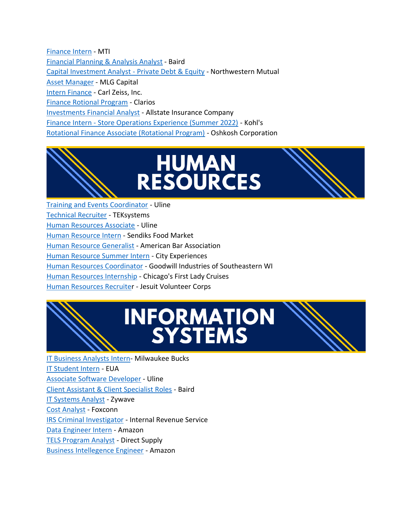[Finance Intern](https://marquette.joinhandshake.com/stu/postings?page=1&per_page=25&sort_direction=desc&sort_column=default&query=finance) - MTI [Financial Planning & Analysis Analyst](https://marquette.joinhandshake.com/stu/jobs/6404708?ref=open-in-new-tab&search_id=12cc875f-f59f-4f98-82e8-6465196e2776) - Baird [Capital Investment Analyst -](https://marquette.joinhandshake.com/stu/jobs/6203236?ref=open-in-new-tab&search_id=12cc875f-f59f-4f98-82e8-6465196e2776) Private Debt & Equity - Northwestern Mutual [Asset Manager](https://marquette.joinhandshake.com/jobs/6363651/share_preview) - MLG Capital [Intern Finance](https://marquette.joinhandshake.com/stu/jobs/6435782?ref=open-in-new-tab&search_id=dd95842b-ebc1-4c84-ac7a-f8e8825cf389) - Carl Zeiss, Inc. [Finance Rotional Program](https://marquette.joinhandshake.com/stu/jobs/5690010?ref=open-in-new-tab&search_id=12cc875f-f59f-4f98-82e8-6465196e2776) - Clarios [Investments Financial Analyst](https://marquette.joinhandshake.com/stu/jobs/6310828?ref=open-in-new-tab&search_id=12cc875f-f59f-4f98-82e8-6465196e2776) - Allstate Insurance Company Finance Intern - [Store Operations Experience \(Summer 2022\)](https://marquette.joinhandshake.com/stu/postings?page=1&per_page=25&sort_direction=desc&sort_column=default&query=intern) - Kohl's [Rotational Finance Associate \(Rotational Program\)](https://marquette.joinhandshake.com/jobs/5595485/share_preview) - Oshkosh Corporation



[Training and Events Coordinator](https://marquette.joinhandshake.com/stu/postings?page=1&per_page=25&sort_direction=desc&sort_column=default&query=uline) - Uline [Technical Recruiter](https://marquette.joinhandshake.com/stu/postings?page=1&per_page=25&sort_direction=desc&sort_column=default&query=human%20resource&locations%5B%5D%5Blabel%5D=Milwaukee%2C%20Wisconsin%2C%20United%20States&locations%5B%5D%5Bname%5D=Milwaukee%2C%20Wisconsin%2C%20United%20States&locations%5B%5D%5Bdistance%5D=13mi&locations%5B%5D%5Bpoint%5D=43.034993%2C%20-87.922497&locations%5B%5D%5Blatitude%5D=43.034993&locations%5B%5D%5Blongitude%5D=-87.922497) - TEKsystems [Human Resources Associate](https://marquette.joinhandshake.com/stu/postings?page=1&per_page=25&sort_direction=desc&sort_column=default&query=uline) - Uline Human [Resource Intern](https://marquette.joinhandshake.com/stu/postings?page=1&per_page=25&sort_direction=desc&sort_column=default&query=human%20resource) - Sendiks Food Market [Human Resource Generalist](https://marquette.joinhandshake.com/stu/postings?page=1&per_page=25&sort_direction=desc&sort_column=default&query=human%20resource) - American Bar Association [Human Resource Summer Intern](https://marquette.joinhandshake.com/stu/postings?page=1&per_page=25&sort_direction=desc&sort_column=default&query=human%20resource) - City Experiences [Human Resources Coordinator](https://marquette.joinhandshake.com/stu/postings?page=1&per_page=25&sort_direction=desc&sort_column=default&query=human%20resource) - Goodwill Industries of Southeastern WI [Human Resources Internship](https://marquette.joinhandshake.com/stu/postings?page=1&per_page=25&sort_direction=desc&sort_column=default&query=human%20resource) - Chicago's First Lady Cruises [Human Resources Recruiter](https://marquette.joinhandshake.com/stu/postings?page=1&per_page=25&sort_direction=desc&sort_column=default&query=human%20resource) - Jesuit Volunteer Corps

# **INFORMATION<br>SYSTEMS**

[IT Business Analysts Intern-](https://marquette.joinhandshake.com/stu/postings?page=4&per_page=25&sort_direction=desc&sort_column=default&query=intern) Milwaukee Bucks [IT Student Intern](https://marquette.joinhandshake.com/stu/postings?page=4&per_page=25&sort_direction=desc&sort_column=default&query=intern) - EUA [Associate Software Developer](https://marquette.joinhandshake.com/stu/postings?page=1&per_page=25&sort_direction=desc&sort_column=default&query=uline) - Uline [Client Assistant & Client Specialist Roles](https://marquette.joinhandshake.com/stu/employers/20553) - Baird [IT Systems Analyst](https://marquette.joinhandshake.com/jobs/6240673/share_preview) - Zywave [Cost Analyst](https://marquette.joinhandshake.com/stu/postings?page=1&per_page=25&sort_direction=desc&sort_column=default&job.industries%5B%5D=1104) - Foxconn [IRS Criminal Investigator](https://marquette.joinhandshake.com/stu/postings?page=1&per_page=25&sort_direction=desc&sort_column=default&majors%5B%5D=29) - Internal Revenue Service [Data Engineer Intern](https://marquette.joinhandshake.com/stu/postings?page=2&per_page=25&sort_direction=desc&sort_column=default&majors%5B%5D=29) - Amazon [TELS Program Analyst](https://marquette.joinhandshake.com/jobs/6262654/share_preview) - Direct Supply [Business Intellegence Engineer](https://marquette.joinhandshake.com/jobs/5064211/share_preview) - Amazon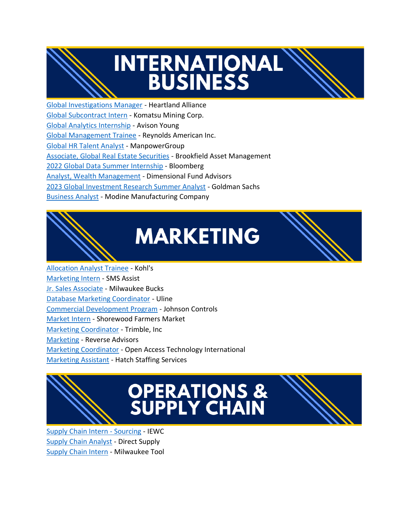

## **INTERNATIONAL BUSINESS**

[Global Investigations Manager](https://marquette.joinhandshake.com/jobs/6084727/share_preview) - Heartland Alliance [Global Subcontract Intern](https://marquette.joinhandshake.com/stu/postings?page=1&per_page=25&sort_direction=desc&sort_column=default&majors%5B%5D=223&majors%5B%5D=222&query=global) - Komatsu Mining Corp. [Global Analytics Internship](https://marquette.joinhandshake.com/stu/postings?page=1&per_page=25&sort_direction=desc&sort_column=default&majors%5B%5D=223&majors%5B%5D=222&query=global) - Avison Young [Global Management Trainee](https://marquette.joinhandshake.com/stu/postings?page=1&per_page=25&sort_direction=desc&sort_column=default&majors%5B%5D=223&majors%5B%5D=222&query=global) - Reynolds American Inc. [Global HR Talent Analyst](https://marquette.joinhandshake.com/stu/postings?page=1&per_page=25&sort_direction=desc&sort_column=default&majors%5B%5D=223&majors%5B%5D=222&query=global) - ManpowerGroup [Associate, Global Real Estate Securities](https://marquette.joinhandshake.com/stu/postings?page=1&per_page=25&sort_direction=desc&sort_column=default&majors%5B%5D=223&majors%5B%5D=222&query=global) - Brookfield Asset Management [2022 Global Data Summer Internship](https://marquette.joinhandshake.com/stu/postings?page=2&per_page=25&sort_direction=desc&sort_column=default&majors%5B%5D=223&majors%5B%5D=222&query=global) - Bloomberg [Analyst, Wealth Management](https://marquette.joinhandshake.com/stu/postings?page=2&per_page=25&sort_direction=desc&sort_column=default&majors%5B%5D=223&majors%5B%5D=222&query=global) - Dimensional Fund Advisors [2023 Global Investment Research Summer Analyst](https://marquette.joinhandshake.com/stu/postings?page=2&per_page=25&sort_direction=desc&sort_column=default&majors%5B%5D=223&majors%5B%5D=222&query=global) - Goldman Sachs [Business Analyst](https://marquette.joinhandshake.com/stu/postings?page=2&per_page=25&sort_direction=desc&sort_column=default&majors%5B%5D=223&majors%5B%5D=222&query=global) - Modine Manufacturing Company



## **MARKETING**



[Allocation Analyst Trainee](https://marquette.joinhandshake.com/jobs/5142700/share_preview) - Kohl's [Marketing Intern](https://marquette.joinhandshake.com/stu/jobs/5779310?ref=open-in-new-tab&search_id=dd0e3b56-fc68-4cc1-b308-63cba0bc20bb) - SMS Assist [Jr. Sales Associate](https://marquette.joinhandshake.com/stu/postings?page=4&per_page=25&sort_direction=desc&sort_column=default&query=intern) - Milwaukee Bucks [Database Marketing Coordinator](https://marquette.joinhandshake.com/stu/postings?page=1&per_page=25&sort_direction=desc&sort_column=default&query=uline) - Uline [Commercial Development Program](https://marquette.joinhandshake.com/jobs/5558176/share_preview) - Johnson Controls [Market Intern](https://marquette.joinhandshake.com/stu/postings?page=1&per_page=25&sort_direction=desc&sort_column=default&majors%5B%5D=246&query=market) - Shorewood Farmers Market [Marketing Coordinator](https://marquette.joinhandshake.com/stu/postings?page=1&per_page=25&sort_direction=desc&sort_column=default&majors%5B%5D=246&query=marketing) - Trimble, Inc [Marketing](https://marquette.joinhandshake.com/stu/postings?page=1&per_page=25&sort_direction=desc&sort_column=default&majors%5B%5D=246&query=marketing) - Reverse Advisors [Marketing Coordinator](https://marquette.joinhandshake.com/stu/postings?page=1&per_page=25&sort_direction=desc&sort_column=default&majors%5B%5D=246&query=marketing) - Open Access Technology International [Marketing Assistant](https://marquette.joinhandshake.com/stu/postings?page=2&per_page=25&sort_direction=desc&sort_column=default&majors%5B%5D=246&query=marketing) - Hatch Staffing Services



# **OPERATIONS &<br>SUPPLY CHAIN**

[Supply Chain Intern -](https://marquette.joinhandshake.com/stu/postings?page=1&per_page=25&sort_direction=desc&sort_column=default&majors%5B%5D=27173&query=supply%20chain) Sourcing - IEWC [Supply Chain Analyst](https://marquette.joinhandshake.com/stu/postings?page=1&per_page=25&sort_direction=desc&sort_column=default&majors%5B%5D=27173&query=supply%20chain) - Direct Supply [Supply Chain Intern](https://marquette.joinhandshake.com/stu/postings?page=1&per_page=25&sort_direction=desc&sort_column=default&query=intern) - Milwaukee Tool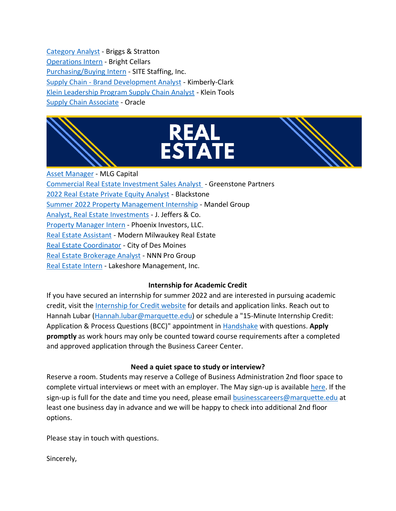[Category](https://marquette.joinhandshake.com/stu/postings?page=5&per_page=25&sort_direction=desc&sort_column=default&query=analyst) Analyst - Briggs & Stratton [Operations Intern](https://marquette.joinhandshake.com/stu/postings?page=4&per_page=25&sort_direction=desc&sort_column=default&query=intern) - Bright Cellars [Purchasing/Buying Intern](https://marquette.joinhandshake.com/stu/postings?page=4&per_page=25&sort_direction=desc&sort_column=default&query=intern) - SITE Staffing, Inc. Supply Chain - [Brand Development Analyst](https://marquette.joinhandshake.com/stu/postings?page=2&per_page=25&sort_direction=desc&sort_column=default&majors%5B%5D=27173&query=supply%20chain) - Kimberly-Clark [Klein Leadership Program Supply Chain Analyst](https://marquette.joinhandshake.com/stu/postings?page=3&per_page=25&sort_direction=desc&sort_column=default&majors%5B%5D=27173&query=supply%20chain) - Klein Tools [Supply Chain Associate](https://marquette.joinhandshake.com/stu/postings?page=3&per_page=25&sort_direction=desc&sort_column=default&majors%5B%5D=27173&query=supply%20chain) - Oracle





[Asset Manager](https://marquette.joinhandshake.com/jobs/6363651/share_preview) - MLG Capital [Commercial Real Estate Investment Sales Analyst](https://marquette.joinhandshake.com/jobs/6418513/share_preview) - Greenstone Partners [2022 Real Estate Private Equity Analyst](https://marquette.joinhandshake.com/stu/jobs/5008828?ref=open-in-new-tab&search_id=12cc875f-f59f-4f98-82e8-6465196e2776) - Blackstone [Summer 2022 Property Management Internship](https://marquette.joinhandshake.com/stu/jobs/6316444?ref=open-in-new-tab&search_id=dd0e3b56-fc68-4cc1-b308-63cba0bc20bb) - Mandel Group [Analyst, Real Estate Investments](https://marquette.joinhandshake.com/stu/postings?page=3&per_page=25&sort_direction=desc&sort_column=default&majors%5B%5D=27174) - J. Jeffers & Co. [Property Manager Intern](https://marquette.joinhandshake.com/stu/postings?page=3&per_page=25&sort_direction=desc&sort_column=default&query=intern) - Phoenix Investors, LLC. [Real Estate Assistant](https://marquette.joinhandshake.com/stu/postings?page=1&per_page=25&sort_direction=desc&sort_column=default&majors%5B%5D=691&query=real%20estate) - Modern Milwaukey Real Estate [Real Estate Coordinator](https://marquette.joinhandshake.com/stu/postings?page=1&per_page=25&sort_direction=desc&sort_column=default&majors%5B%5D=691&query=real%20estate) - City of Des Moines [Real Estate Brokerage Analyst](https://marquette.joinhandshake.com/stu/postings?page=1&per_page=25&sort_direction=desc&sort_column=default&majors%5B%5D=691&query=real%20estate) - NNN Pro Group [Real Estate Intern](https://marquette.joinhandshake.com/stu/postings?page=1&per_page=25&sort_direction=desc&sort_column=default&majors%5B%5D=691&query=real%20estate) - Lakeshore Management, Inc.

### **Internship for Academic Credit**

If you have secured an internship for summer 2022 and are interested in pursuing academic credit, visit the [Internship for Credit website](https://www.marquette.edu/business/career-center/undergrad/internships.php) for details and application links. Reach out to Hannah Lubar [\(Hannah.lubar@marquette.edu\)](mailto:Hannah.lubar@marquette.edu) or schedule a "15-Minute Internship Credit: Application & Process Questions (BCC)" appointment in [Handshake](https://nam02.safelinks.protection.outlook.com/?url=https%3A%2F%2Fmarquette.joinhandshake.com%2F&data=04%7C01%7Channah.lubar%40marquette.edu%7Cae262e94ded744e3819b08d9b67cef8c%7Cabe32f68c72d420db5bd750c63a268e4%7C0%7C0%7C637741469968200409%7CUnknown%7CTWFpbGZsb3d8eyJWIjoiMC4wLjAwMDAiLCJQIjoiV2luMzIiLCJBTiI6Ik1haWwiLCJXVCI6Mn0%3D%7C3000&sdata=2MJQJpvo3GmONyB9E%2FOGvDCEJmE4W5RXnmT9GXJZkqM%3D&reserved=0) with questions. **Apply promptly** as work hours may only be counted toward course requirements after a completed and approved application through the Business Career Center.

### **Need a quiet space to study or interview?**

Reserve a room. Students may reserve a College of Business Administration 2nd floor space to complete virtual interviews or meet with an employer. The May sign-up is available [here.](https://www.signupgenius.com/go/10C044FADA92BA5F85-location1) If the sign-up is full for the date and time you need, please email [businesscareers@marquette.edu](https://marquette.joinhandshake.com/edu/mass_emails/1029980/businesscareers@marquette.edu) at least one business day in advance and we will be happy to check into additional 2nd floor options.

Please stay in touch with questions.

Sincerely,